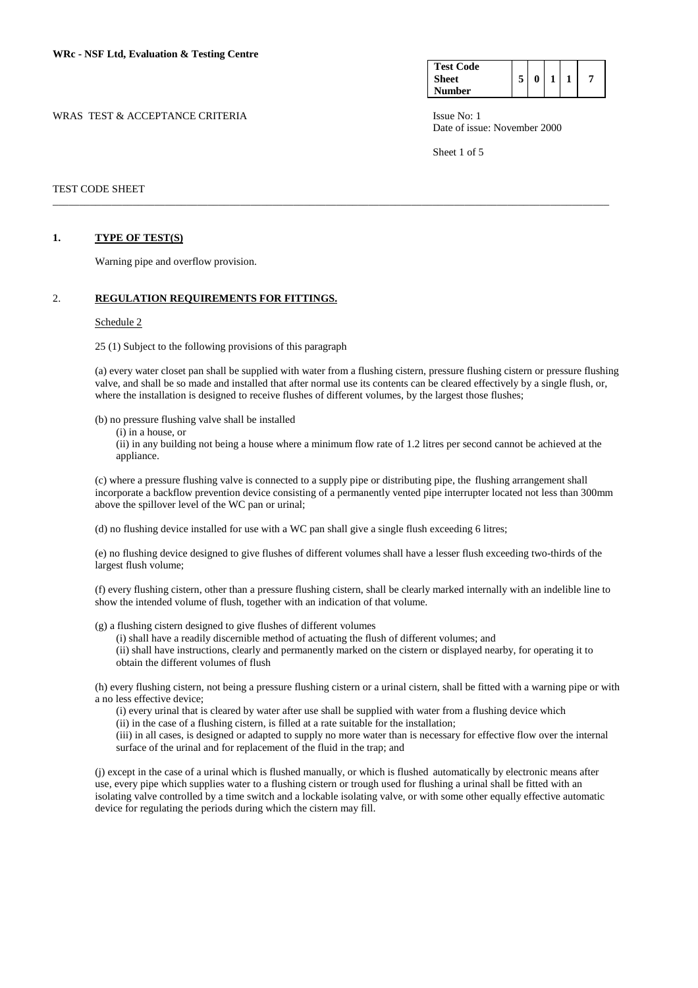WRAS TEST & ACCEPTANCE CRITERIA ISSUE No: 1

| <b>Test Code</b><br>Sheet |  |  |  |
|---------------------------|--|--|--|
| Number                    |  |  |  |

Date of issue: November 2000

Sheet 1 of 5

# TEST CODE SHEET

### **1. TYPE OF TEST(S)**

Warning pipe and overflow provision.

### 2. **REGULATION REQUIREMENTS FOR FITTINGS.**

#### Schedule 2

25 (1) Subject to the following provisions of this paragraph

(a) every water closet pan shall be supplied with water from a flushing cistern, pressure flushing cistern or pressure flushing valve, and shall be so made and installed that after normal use its contents can be cleared effectively by a single flush, or, where the installation is designed to receive flushes of different volumes, by the largest those flushes:

\_\_\_\_\_\_\_\_\_\_\_\_\_\_\_\_\_\_\_\_\_\_\_\_\_\_\_\_\_\_\_\_\_\_\_\_\_\_\_\_\_\_\_\_\_\_\_\_\_\_\_\_\_\_\_\_\_\_\_\_\_\_\_\_\_\_\_\_\_\_\_\_\_\_\_\_\_\_\_\_\_\_\_\_\_\_\_\_\_\_\_\_\_\_\_\_\_\_\_\_\_\_\_\_

(b) no pressure flushing valve shall be installed

(i) in a house, or

 (ii) in any building not being a house where a minimum flow rate of 1.2 litres per second cannot be achieved at the appliance.

 (c) where a pressure flushing valve is connected to a supply pipe or distributing pipe, the flushing arrangement shall incorporate a backflow prevention device consisting of a permanently vented pipe interrupter located not less than 300mm above the spillover level of the WC pan or urinal;

(d) no flushing device installed for use with a WC pan shall give a single flush exceeding 6 litres;

(e) no flushing device designed to give flushes of different volumes shall have a lesser flush exceeding two-thirds of the largest flush volume;

(f) every flushing cistern, other than a pressure flushing cistern, shall be clearly marked internally with an indelible line to show the intended volume of flush, together with an indication of that volume.

(g) a flushing cistern designed to give flushes of different volumes

 (i) shall have a readily discernible method of actuating the flush of different volumes; and (ii) shall have instructions, clearly and permanently marked on the cistern or displayed nearby, for operating it to obtain the different volumes of flush

(h) every flushing cistern, not being a pressure flushing cistern or a urinal cistern, shall be fitted with a warning pipe or with a no less effective device;

(i) every urinal that is cleared by water after use shall be supplied with water from a flushing device which

(ii) in the case of a flushing cistern, is filled at a rate suitable for the installation;

(iii) in all cases, is designed or adapted to supply no more water than is necessary for effective flow over the internal surface of the urinal and for replacement of the fluid in the trap; and

(j) except in the case of a urinal which is flushed manually, or which is flushed automatically by electronic means after use, every pipe which supplies water to a flushing cistern or trough used for flushing a urinal shall be fitted with an isolating valve controlled by a time switch and a lockable isolating valve, or with some other equally effective automatic device for regulating the periods during which the cistern may fill.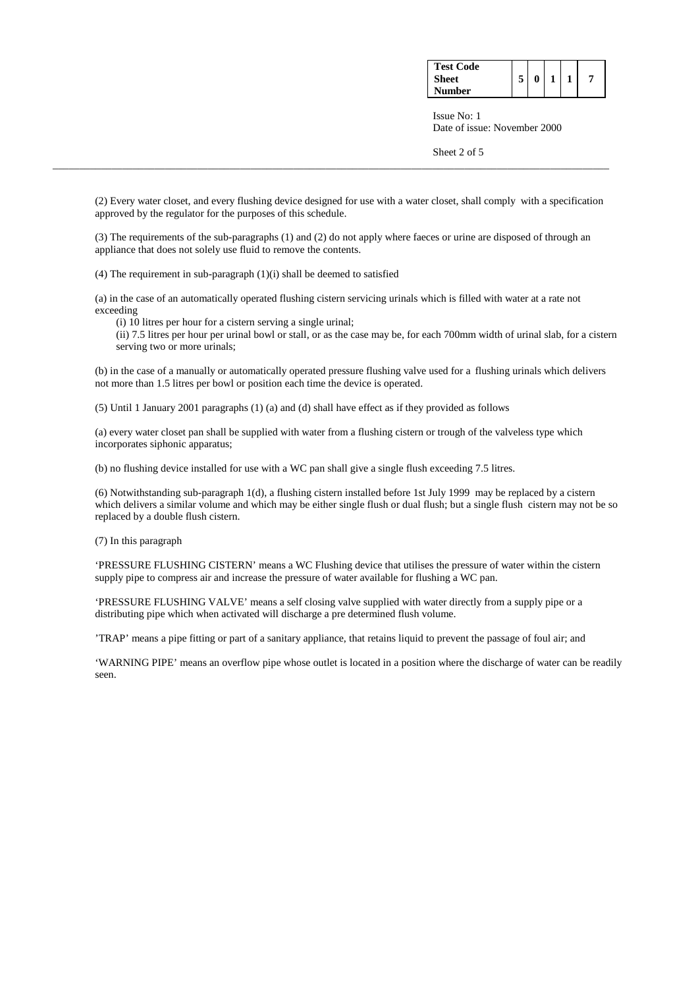| <b>Test Code</b> |   |  |  |
|------------------|---|--|--|
| Sheet            | Э |  |  |
| Number           |   |  |  |

Sheet 2 of 5

(2) Every water closet, and every flushing device designed for use with a water closet, shall comply with a specification approved by the regulator for the purposes of this schedule.

\_\_\_\_\_\_\_\_\_\_\_\_\_\_\_\_\_\_\_\_\_\_\_\_\_\_\_\_\_\_\_\_\_\_\_\_\_\_\_\_\_\_\_\_\_\_\_\_\_\_\_\_\_\_\_\_\_\_\_\_\_\_\_\_\_\_\_\_\_\_\_\_\_\_\_\_\_\_\_\_\_\_\_\_\_\_\_\_\_\_\_\_\_\_\_\_\_\_\_\_\_\_\_\_

(3) The requirements of the sub-paragraphs (1) and (2) do not apply where faeces or urine are disposed of through an appliance that does not solely use fluid to remove the contents.

(4) The requirement in sub-paragraph (1)(i) shall be deemed to satisfied

(a) in the case of an automatically operated flushing cistern servicing urinals which is filled with water at a rate not exceeding

(i) 10 litres per hour for a cistern serving a single urinal;

 (ii) 7.5 litres per hour per urinal bowl or stall, or as the case may be, for each 700mm width of urinal slab, for a cistern serving two or more urinals;

(b) in the case of a manually or automatically operated pressure flushing valve used for a flushing urinals which delivers not more than 1.5 litres per bowl or position each time the device is operated.

(5) Until 1 January 2001 paragraphs (1) (a) and (d) shall have effect as if they provided as follows

(a) every water closet pan shall be supplied with water from a flushing cistern or trough of the valveless type which incorporates siphonic apparatus;

(b) no flushing device installed for use with a WC pan shall give a single flush exceeding 7.5 litres.

(6) Notwithstanding sub-paragraph 1(d), a flushing cistern installed before 1st July 1999 may be replaced by a cistern which delivers a similar volume and which may be either single flush or dual flush; but a single flush cistern may not be so replaced by a double flush cistern.

(7) In this paragraph

'PRESSURE FLUSHING CISTERN' means a WC Flushing device that utilises the pressure of water within the cistern supply pipe to compress air and increase the pressure of water available for flushing a WC pan.

'PRESSURE FLUSHING VALVE' means a self closing valve supplied with water directly from a supply pipe or a distributing pipe which when activated will discharge a pre determined flush volume.

'TRAP' means a pipe fitting or part of a sanitary appliance, that retains liquid to prevent the passage of foul air; and

'WARNING PIPE' means an overflow pipe whose outlet is located in a position where the discharge of water can be readily seen.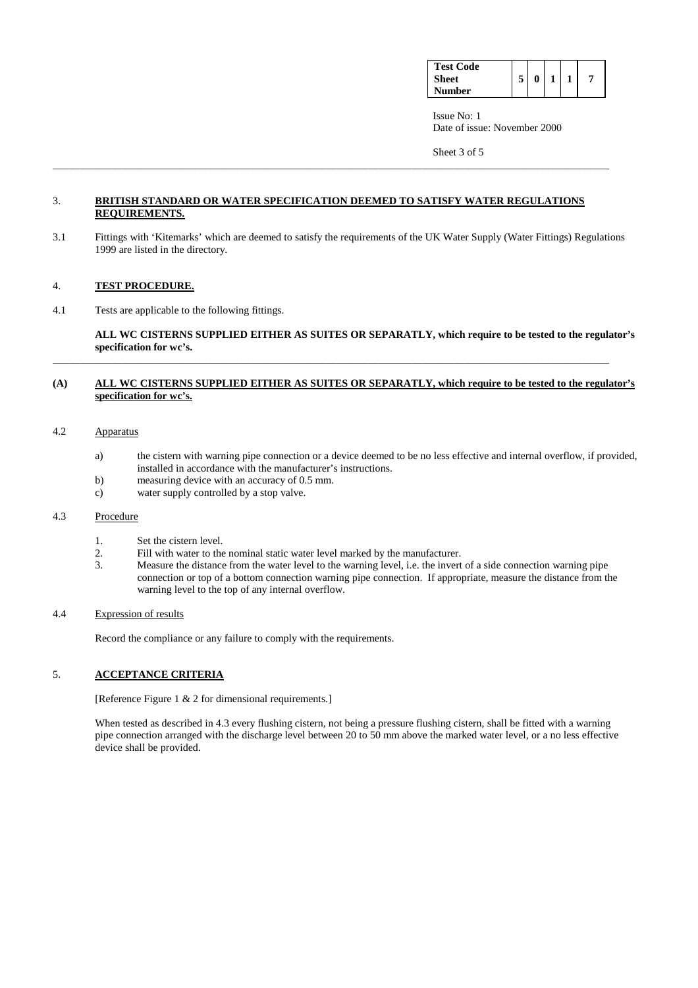| <b>Test Code</b><br>Sheet |  |  |  |
|---------------------------|--|--|--|
| Number                    |  |  |  |

Sheet 3 of 5

## 3. **BRITISH STANDARD OR WATER SPECIFICATION DEEMED TO SATISFY WATER REGULATIONS REQUIREMENTS.**

\_\_\_\_\_\_\_\_\_\_\_\_\_\_\_\_\_\_\_\_\_\_\_\_\_\_\_\_\_\_\_\_\_\_\_\_\_\_\_\_\_\_\_\_\_\_\_\_\_\_\_\_\_\_\_\_\_\_\_\_\_\_\_\_\_\_\_\_\_\_\_\_\_\_\_\_\_\_\_\_\_\_\_\_\_\_\_\_\_\_\_\_\_\_\_\_\_\_\_\_\_\_\_\_

3.1 Fittings with 'Kitemarks' which are deemed to satisfy the requirements of the UK Water Supply (Water Fittings) Regulations 1999 are listed in the directory.

## 4. **TEST PROCEDURE.**

4.1 Tests are applicable to the following fittings.

**ALL WC CISTERNS SUPPLIED EITHER AS SUITES OR SEPARATLY, which require to be tested to the regulator's specification for wc's.** 

## **(A) ALL WC CISTERNS SUPPLIED EITHER AS SUITES OR SEPARATLY, which require to be tested to the regulator's specification for wc's.**

\_\_\_\_\_\_\_\_\_\_\_\_\_\_\_\_\_\_\_\_\_\_\_\_\_\_\_\_\_\_\_\_\_\_\_\_\_\_\_\_\_\_\_\_\_\_\_\_\_\_\_\_\_\_\_\_\_\_\_\_\_\_\_\_\_\_\_\_\_\_\_\_\_\_\_\_\_\_\_\_\_\_\_\_\_\_\_\_\_\_\_\_\_\_\_\_\_\_\_\_\_\_\_\_

## 4.2 Apparatus

- a) the cistern with warning pipe connection or a device deemed to be no less effective and internal overflow, if provided, installed in accordance with the manufacturer's instructions.
- b) measuring device with an accuracy of 0.5 mm.
- c) water supply controlled by a stop valve.

### 4.3 Procedure

- 1. Set the cistern level.
- 2. Fill with water to the nominal static water level marked by the manufacturer.
- 3. Measure the distance from the water level to the warning level, i.e. the invert of a side connection warning pipe connection or top of a bottom connection warning pipe connection. If appropriate, measure the distance from the warning level to the top of any internal overflow.

#### 4.4 Expression of results

Record the compliance or any failure to comply with the requirements.

## 5. **ACCEPTANCE CRITERIA**

[Reference Figure 1  $& 2$  for dimensional requirements.]

When tested as described in 4.3 every flushing cistern, not being a pressure flushing cistern, shall be fitted with a warning pipe connection arranged with the discharge level between 20 to 50 mm above the marked water level, or a no less effective device shall be provided.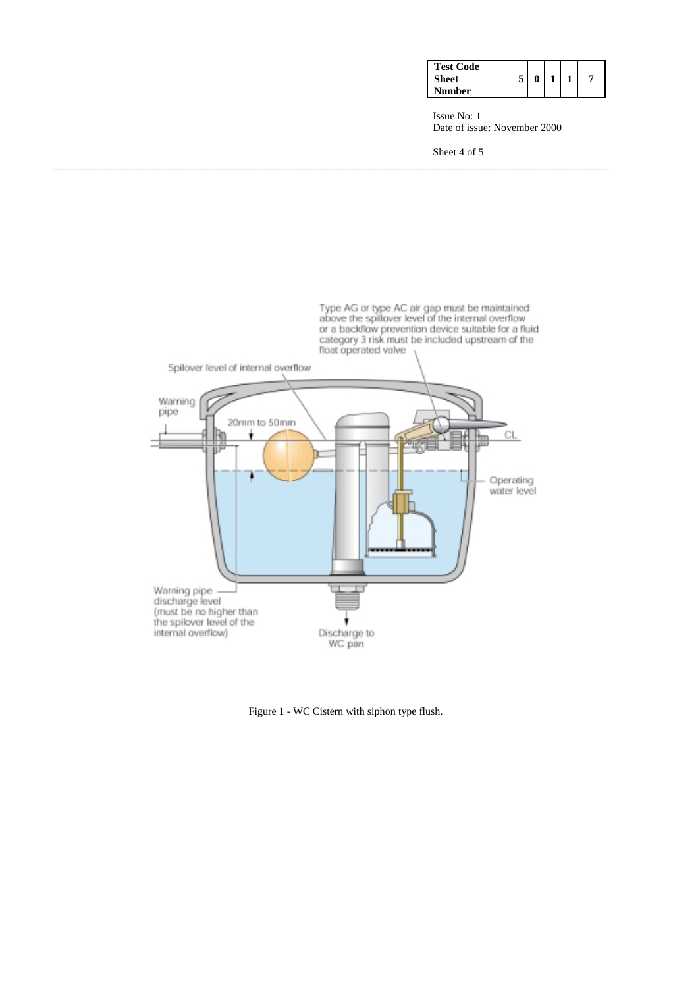| <b>Test Code</b> |   |  |  |
|------------------|---|--|--|
| Sheet            | 5 |  |  |
| Number           |   |  |  |

Sheet 4 of 5



\_\_\_\_\_\_\_\_\_\_\_\_\_\_\_\_\_\_\_\_\_\_\_\_\_\_\_\_\_\_\_\_\_\_\_\_\_\_\_\_\_\_\_\_\_\_\_\_\_\_\_\_\_\_\_\_\_\_\_\_\_\_\_\_\_\_\_\_\_\_\_\_\_\_\_\_\_\_\_\_\_\_\_\_\_\_\_\_\_\_\_\_\_\_\_\_\_\_\_\_\_\_\_\_

Figure 1 - WC Cistern with siphon type flush.